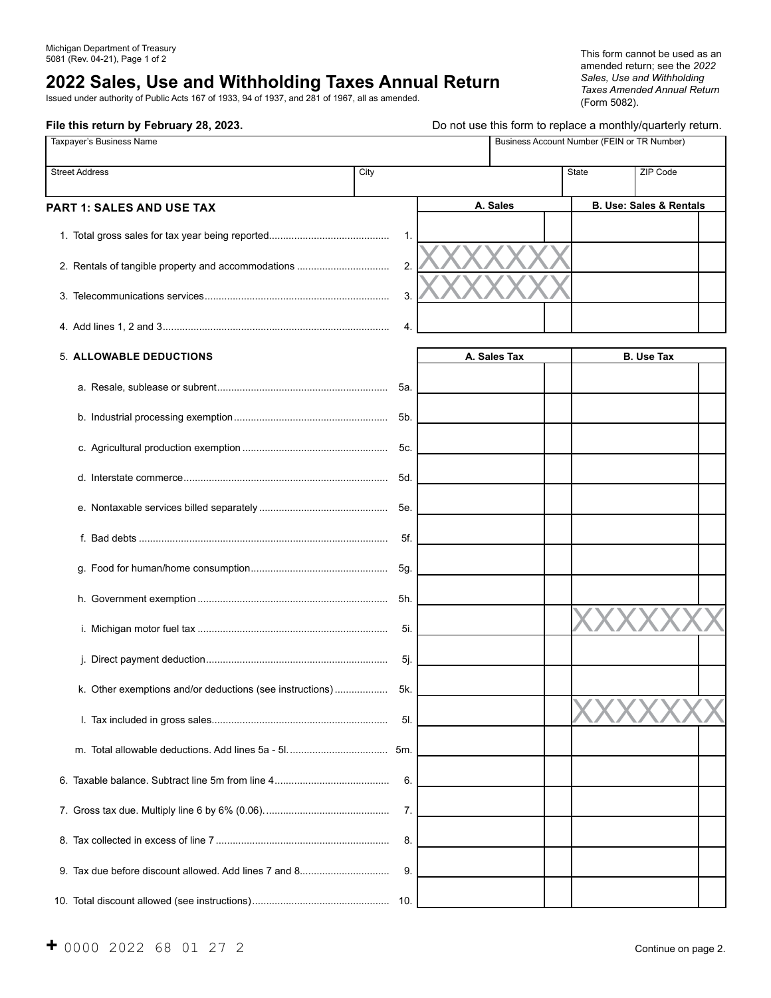# **2022 Sales, Use and Withholding Taxes Annual Return**

Issued under authority of Public Acts 167 of 1933, 94 of 1937, and 281 of 1967, all as amended.

amended return; see the *2022 Sales, Use and Withholding Taxes Amended Annual Return* (Form 5082).

| File this return by February 28, 2023.                   |      | Do not use this form to replace a monthly/quarterly return. |       |                                             |  |
|----------------------------------------------------------|------|-------------------------------------------------------------|-------|---------------------------------------------|--|
| Taxpayer's Business Name                                 |      |                                                             |       | Business Account Number (FEIN or TR Number) |  |
| <b>Street Address</b>                                    | City |                                                             | State | ZIP Code                                    |  |
| <b>PART 1: SALES AND USE TAX</b>                         |      | A. Sales                                                    |       | <b>B. Use: Sales &amp; Rentals</b>          |  |
|                                                          | 1.   |                                                             |       |                                             |  |
|                                                          | 2.   |                                                             |       |                                             |  |
|                                                          | 3.   |                                                             |       |                                             |  |
|                                                          | 4.   |                                                             |       |                                             |  |
| <b>5. ALLOWABLE DEDUCTIONS</b>                           |      | A. Sales Tax                                                |       | <b>B.</b> Use Tax                           |  |
|                                                          | 5а.  |                                                             |       |                                             |  |
|                                                          | 5b.  |                                                             |       |                                             |  |
|                                                          | 5c.  |                                                             |       |                                             |  |
|                                                          | 5d.  |                                                             |       |                                             |  |
|                                                          | 5e.  |                                                             |       |                                             |  |
|                                                          | 5f.  |                                                             |       |                                             |  |
|                                                          | 5g.  |                                                             |       |                                             |  |
|                                                          | 5h.  |                                                             |       |                                             |  |
|                                                          | 5i.  |                                                             |       |                                             |  |
|                                                          | -5j. |                                                             |       |                                             |  |
| k. Other exemptions and/or deductions (see instructions) | 5k.  |                                                             |       |                                             |  |
|                                                          | 5I.  |                                                             |       |                                             |  |
|                                                          | 5m.  |                                                             |       |                                             |  |
|                                                          | 6.   |                                                             |       |                                             |  |
|                                                          | 7.   |                                                             |       |                                             |  |
|                                                          | 8.   |                                                             |       |                                             |  |
| 9. Tax due before discount allowed. Add lines 7 and 8    | 9.   |                                                             |       |                                             |  |
|                                                          |      |                                                             |       |                                             |  |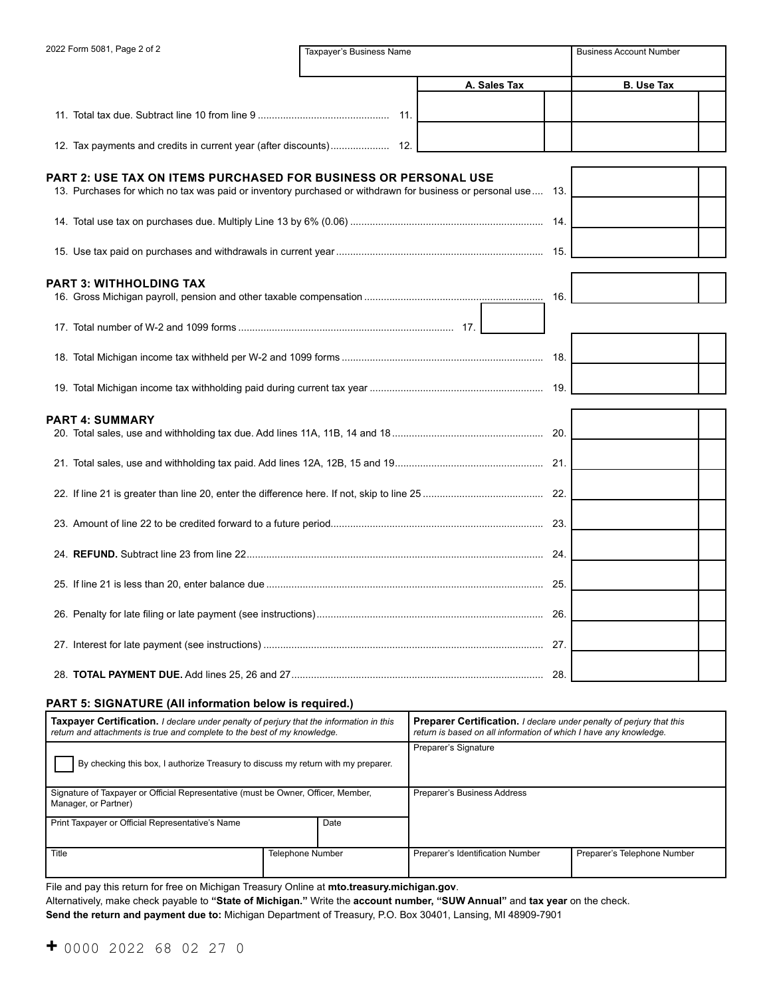| 2022 Form 5081, Page 2 of 2                                                                                                                                                     | Taxpayer's Business Name |              | <b>Business Account Number</b> |
|---------------------------------------------------------------------------------------------------------------------------------------------------------------------------------|--------------------------|--------------|--------------------------------|
|                                                                                                                                                                                 |                          | A. Sales Tax | <b>B.</b> Use Tax              |
|                                                                                                                                                                                 |                          |              |                                |
|                                                                                                                                                                                 |                          |              |                                |
|                                                                                                                                                                                 |                          |              |                                |
| PART 2: USE TAX ON ITEMS PURCHASED FOR BUSINESS OR PERSONAL USE<br>13. Purchases for which no tax was paid or inventory purchased or withdrawn for business or personal use 13. |                          |              |                                |
|                                                                                                                                                                                 |                          |              |                                |
|                                                                                                                                                                                 |                          |              |                                |
| PART 3: WITHHOLDING TAX                                                                                                                                                         |                          |              |                                |
|                                                                                                                                                                                 |                          | 16.          |                                |
|                                                                                                                                                                                 |                          |              |                                |
|                                                                                                                                                                                 |                          |              |                                |
|                                                                                                                                                                                 |                          |              |                                |
| PART 4: SUMMARY                                                                                                                                                                 |                          |              |                                |
|                                                                                                                                                                                 |                          |              |                                |
|                                                                                                                                                                                 |                          |              |                                |
|                                                                                                                                                                                 |                          |              |                                |
|                                                                                                                                                                                 |                          |              |                                |
|                                                                                                                                                                                 |                          |              |                                |
|                                                                                                                                                                                 |                          |              |                                |
|                                                                                                                                                                                 |                          |              |                                |
|                                                                                                                                                                                 |                          |              |                                |
|                                                                                                                                                                                 |                          |              |                                |

#### **PART 5: SIGNATURE (All information below is required.)**

| <b>Taxpayer Certification.</b> I declare under penalty of perjury that the information in this<br>return and attachments is true and complete to the best of my knowledge. |                         | <b>Preparer Certification.</b> I declare under penalty of perjury that this<br>return is based on all information of which I have any knowledge. |                             |  |
|----------------------------------------------------------------------------------------------------------------------------------------------------------------------------|-------------------------|--------------------------------------------------------------------------------------------------------------------------------------------------|-----------------------------|--|
| By checking this box, I authorize Treasury to discuss my return with my preparer.                                                                                          |                         | Preparer's Signature                                                                                                                             |                             |  |
| Signature of Taxpayer or Official Representative (must be Owner, Officer, Member,<br>Manager, or Partner)                                                                  |                         | Preparer's Business Address                                                                                                                      |                             |  |
| Print Taxpayer or Official Representative's Name                                                                                                                           | Date                    |                                                                                                                                                  |                             |  |
| Title                                                                                                                                                                      | <b>Telephone Number</b> | Preparer's Identification Number                                                                                                                 | Preparer's Telephone Number |  |

File and pay this return for free on Michigan Treasury Online at **mto.treasury.michigan.gov**.

Alternatively, make check payable to **"State of Michigan."** Write the **account number, "SUW Annual"** and **tax year** on the check.

**Send the return and payment due to:** Michigan Department of Treasury, P.O. Box 30401, Lansing, MI 48909-7901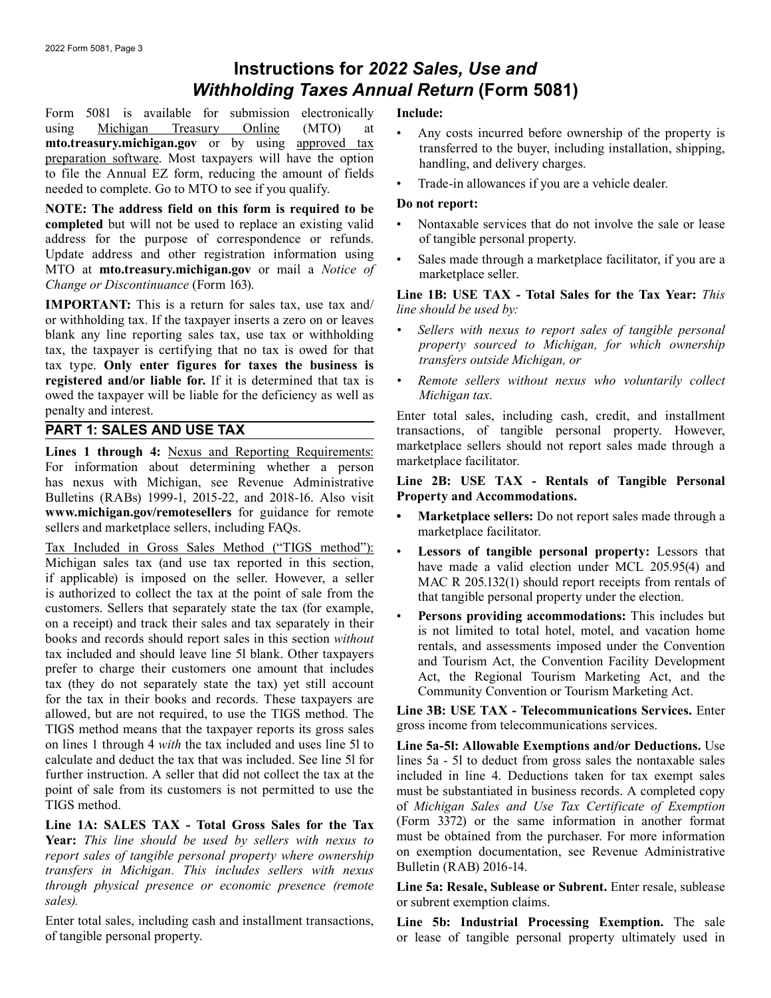# **Instructions for** *2022 Sales, Use and Withholding Taxes Annual Return* **(Form 5081)**

Form 5081 is available for submission electronically using [Michigan Treasury Online](https://mto.treasury.michigan.gov) (MTO) at **[mto.treasury.michigan.gov](http://mto.treasury.michigan.gov)** or by using [approved tax](https://www.michigan.gov/taxes/0,4676,7-238-43549-453837--,00.html)  [preparation software](https://www.michigan.gov/taxes/0,4676,7-238-43549-453837--,00.html). Most taxpayers will have the option to file the Annual EZ form, reducing the amount of fields needed to complete. Go to MTO to see if you qualify.

**NOTE: The address field on this form is required to be completed** but will not be used to replace an existing valid address for the purpose of correspondence or refunds. Update address and other registration information using MTO at **mto.treasury.michigan.gov** or mail a *Notice of Change or Discontinuance* (Form 163).

**IMPORTANT:** This is a return for sales tax, use tax and/ or withholding tax. If the taxpayer inserts a zero on or leaves blank any line reporting sales tax, use tax or withholding tax, the taxpayer is certifying that no tax is owed for that tax type. **Only enter figures for taxes the business is registered and/or liable for.** If it is determined that tax is owed the taxpayer will be liable for the deficiency as well as penalty and interest.

# **PART 1: SALES AND USE TAX**

**Lines 1 through 4:** Nexus and Reporting Requirements: For information about determining whether a person has nexus with Michigan, see Revenue Administrative Bulletins (RABs) 1999-1, 2015-22, and 2018-16. Also visit **www.michigan.gov/remotesellers** for guidance for remote sellers and marketplace sellers, including FAQs.

Tax Included in Gross Sales Method ("TIGS method"): Michigan sales tax (and use tax reported in this section, if applicable) is imposed on the seller. However, a seller is authorized to collect the tax at the point of sale from the customers. Sellers that separately state the tax (for example, on a receipt) and track their sales and tax separately in their books and records should report sales in this section *without* tax included and should leave line 5l blank. Other taxpayers prefer to charge their customers one amount that includes tax (they do not separately state the tax) yet still account for the tax in their books and records. These taxpayers are allowed, but are not required, to use the TIGS method. The TIGS method means that the taxpayer reports its gross sales on lines 1 through 4 *with* the tax included and uses line 5l to calculate and deduct the tax that was included. See line 5l for further instruction. A seller that did not collect the tax at the point of sale from its customers is not permitted to use the TIGS method.

**Line 1A: SALES TAX - Total Gross Sales for the Tax Year:** *This line should be used by sellers with nexus to report sales of tangible personal property where ownership transfers in Michigan. This includes sellers with nexus through physical presence or economic presence (remote sales).*

Enter total sales, including cash and installment transactions, of tangible personal property.

### **Include:**

- Any costs incurred before ownership of the property is transferred to the buyer, including installation, shipping, handling, and delivery charges.
- Trade-in allowances if you are a vehicle dealer.

#### **Do not report:**

- Nontaxable services that do not involve the sale or lease of tangible personal property.
- Sales made through a marketplace facilitator, if you are a marketplace seller.

**Line 1B: USE TAX - Total Sales for the Tax Year:** *This line should be used by:*

- *• Sellers with nexus to report sales of tangible personal property sourced to Michigan, for which ownership transfers outside Michigan, or*
- *• Remote sellers without nexus who voluntarily collect Michigan tax.*

Enter total sales, including cash, credit, and installment transactions, of tangible personal property. However, marketplace sellers should not report sales made through a marketplace facilitator.

#### **Line 2B: USE TAX - Rentals of Tangible Personal Property and Accommodations.**

- **Marketplace sellers:** Do not report sales made through a marketplace facilitator.
- **Lessors of tangible personal property:** Lessors that have made a valid election under MCL 205.95(4) and MAC R 205.132(1) should report receipts from rentals of that tangible personal property under the election.
- **Persons providing accommodations:** This includes but is not limited to total hotel, motel, and vacation home rentals, and assessments imposed under the Convention and Tourism Act, the Convention Facility Development Act, the Regional Tourism Marketing Act, and the Community Convention or Tourism Marketing Act.

**Line 3B: USE TAX - Telecommunications Services.** Enter gross income from telecommunications services.

**Line 5a-5l: Allowable Exemptions and/or Deductions.** Use lines 5a - 5l to deduct from gross sales the nontaxable sales included in line 4. Deductions taken for tax exempt sales must be substantiated in business records. A completed copy of *Michigan Sales and Use Tax Certificate of Exemption*  (Form 3372) or the same information in another format must be obtained from the purchaser. For more information on exemption documentation, see Revenue Administrative Bulletin (RAB) 2016-14.

Line 5a: Resale, Sublease or Subrent. Enter resale, sublease or subrent exemption claims.

**Line 5b: Industrial Processing Exemption.** The sale or lease of tangible personal property ultimately used in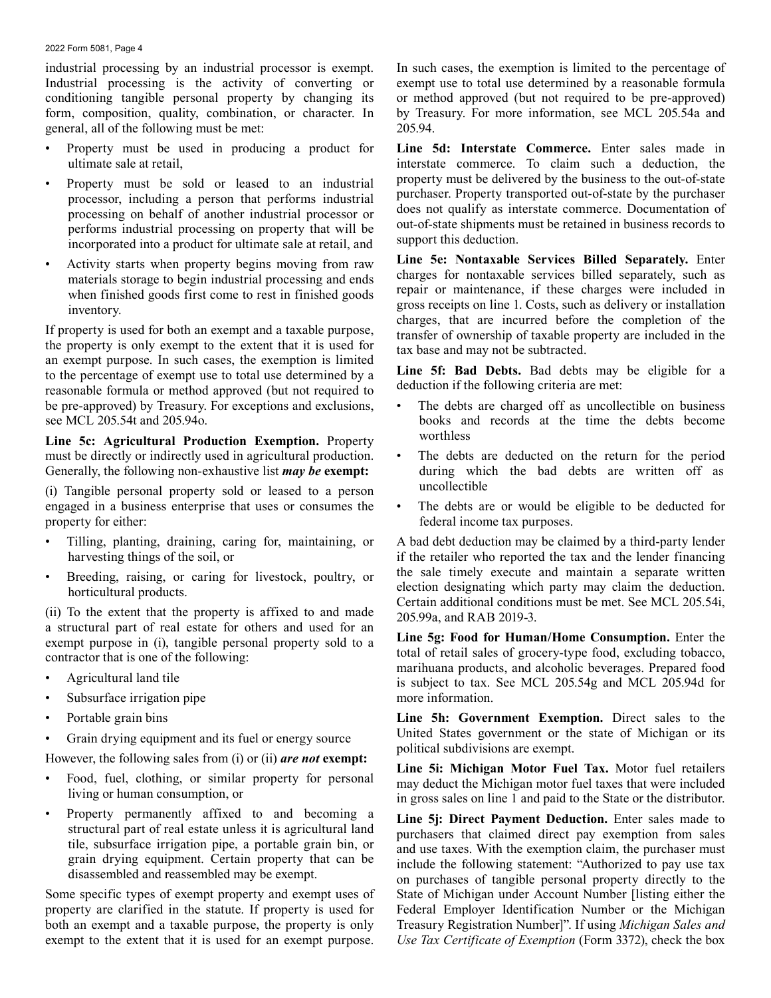#### 2022 Form 5081, Page 4

industrial processing by an industrial processor is exempt. Industrial processing is the activity of converting or conditioning tangible personal property by changing its form, composition, quality, combination, or character. In general, all of the following must be met:

- Property must be used in producing a product for ultimate sale at retail,
- Property must be sold or leased to an industrial processor, including a person that performs industrial processing on behalf of another industrial processor or performs industrial processing on property that will be incorporated into a product for ultimate sale at retail, and
- Activity starts when property begins moving from raw materials storage to begin industrial processing and ends when finished goods first come to rest in finished goods inventory.

If property is used for both an exempt and a taxable purpose, the property is only exempt to the extent that it is used for an exempt purpose. In such cases, the exemption is limited to the percentage of exempt use to total use determined by a reasonable formula or method approved (but not required to be pre-approved) by Treasury. For exceptions and exclusions, see MCL 205.54t and 205.94o.

**Line 5c: Agricultural Production Exemption.** Property must be directly or indirectly used in agricultural production. Generally, the following non-exhaustive list *may be* **exempt:**

(i) Tangible personal property sold or leased to a person engaged in a business enterprise that uses or consumes the property for either:

- Tilling, planting, draining, caring for, maintaining, or harvesting things of the soil, or
- Breeding, raising, or caring for livestock, poultry, or horticultural products.

(ii) To the extent that the property is affixed to and made a structural part of real estate for others and used for an exempt purpose in (i), tangible personal property sold to a contractor that is one of the following:

- Agricultural land tile
- Subsurface irrigation pipe
- Portable grain bins
- Grain drying equipment and its fuel or energy source

However, the following sales from (i) or (ii) *are not* **exempt:**

- Food, fuel, clothing, or similar property for personal living or human consumption, or
- Property permanently affixed to and becoming a structural part of real estate unless it is agricultural land tile, subsurface irrigation pipe, a portable grain bin, or grain drying equipment. Certain property that can be disassembled and reassembled may be exempt.

Some specific types of exempt property and exempt uses of property are clarified in the statute. If property is used for both an exempt and a taxable purpose, the property is only exempt to the extent that it is used for an exempt purpose.

In such cases, the exemption is limited to the percentage of exempt use to total use determined by a reasonable formula or method approved (but not required to be pre-approved) by Treasury. For more information, see MCL 205.54a and 205.94.

**Line 5d: Interstate Commerce.** Enter sales made in interstate commerce. To claim such a deduction, the property must be delivered by the business to the out-of-state purchaser. Property transported out-of-state by the purchaser does not qualify as interstate commerce. Documentation of out-of-state shipments must be retained in business records to support this deduction.

**Line 5e: Nontaxable Services Billed Separately.** Enter charges for nontaxable services billed separately, such as repair or maintenance, if these charges were included in gross receipts on line 1. Costs, such as delivery or installation charges, that are incurred before the completion of the transfer of ownership of taxable property are included in the tax base and may not be subtracted.

**Line 5f: Bad Debts.** Bad debts may be eligible for a deduction if the following criteria are met:

- The debts are charged off as uncollectible on business books and records at the time the debts become worthless
- The debts are deducted on the return for the period during which the bad debts are written off as uncollectible
- The debts are or would be eligible to be deducted for federal income tax purposes.

A bad debt deduction may be claimed by a third-party lender if the retailer who reported the tax and the lender financing the sale timely execute and maintain a separate written election designating which party may claim the deduction. Certain additional conditions must be met. See MCL 205.54i, 205.99a, and RAB 2019-3.

**Line 5g: Food for Human/Home Consumption.** Enter the total of retail sales of grocery-type food, excluding tobacco, marihuana products, and alcoholic beverages. Prepared food is subject to tax. See MCL 205.54g and MCL 205.94d for more information.

**Line 5h: Government Exemption.** Direct sales to the United States government or the state of Michigan or its political subdivisions are exempt.

**Line 5i: Michigan Motor Fuel Tax.** Motor fuel retailers may deduct the Michigan motor fuel taxes that were included in gross sales on line 1 and paid to the State or the distributor.

Line 5*j*: Direct Payment Deduction. Enter sales made to purchasers that claimed direct pay exemption from sales and use taxes. With the exemption claim, the purchaser must include the following statement: "Authorized to pay use tax on purchases of tangible personal property directly to the State of Michigan under Account Number [listing either the Federal Employer Identification Number or the Michigan Treasury Registration Number]". If using *Michigan Sales and Use Tax Certificate of Exemption* (Form 3372), check the box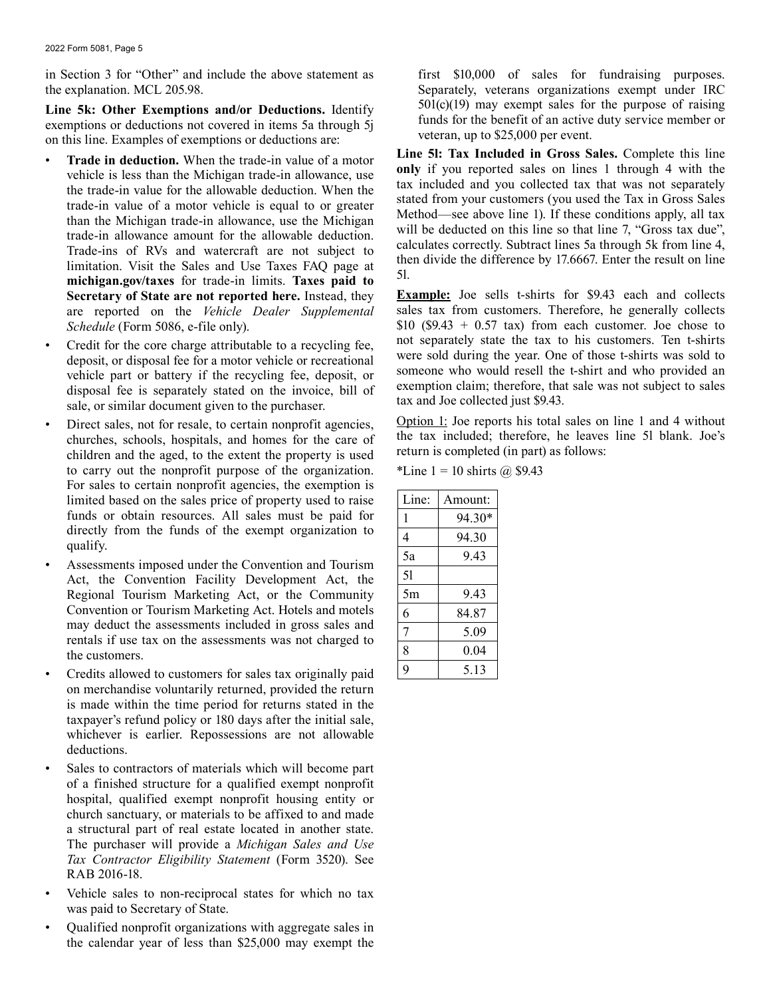in Section 3 for "Other" and include the above statement as the explanation. MCL 205.98.

**Line 5k: Other Exemptions and/or Deductions.** Identify exemptions or deductions not covered in items 5a through 5j on this line. Examples of exemptions or deductions are:

- **Trade in deduction.** When the trade-in value of a motor vehicle is less than the Michigan trade-in allowance, use the trade-in value for the allowable deduction. When the trade-in value of a motor vehicle is equal to or greater than the Michigan trade-in allowance, use the Michigan trade-in allowance amount for the allowable deduction. Trade-ins of RVs and watercraft are not subject to limitation. Visit the Sales and Use Taxes FAQ page at **michigan.gov/taxes** for trade-in limits. **Taxes paid to Secretary of State are not reported here.** Instead, they are reported on the *Vehicle Dealer Supplemental Schedule* (Form 5086, e-file only).
- Credit for the core charge attributable to a recycling fee, deposit, or disposal fee for a motor vehicle or recreational vehicle part or battery if the recycling fee, deposit, or disposal fee is separately stated on the invoice, bill of sale, or similar document given to the purchaser.
- Direct sales, not for resale, to certain nonprofit agencies, churches, schools, hospitals, and homes for the care of children and the aged, to the extent the property is used to carry out the nonprofit purpose of the organization. For sales to certain nonprofit agencies, the exemption is limited based on the sales price of property used to raise funds or obtain resources. All sales must be paid for directly from the funds of the exempt organization to qualify.
- Assessments imposed under the Convention and Tourism Act, the Convention Facility Development Act, the Regional Tourism Marketing Act, or the Community Convention or Tourism Marketing Act. Hotels and motels may deduct the assessments included in gross sales and rentals if use tax on the assessments was not charged to the customers.
- Credits allowed to customers for sales tax originally paid on merchandise voluntarily returned, provided the return is made within the time period for returns stated in the taxpayer's refund policy or 180 days after the initial sale, whichever is earlier. Repossessions are not allowable deductions.
- Sales to contractors of materials which will become part of a finished structure for a qualified exempt nonprofit hospital, qualified exempt nonprofit housing entity or church sanctuary, or materials to be affixed to and made a structural part of real estate located in another state. The purchaser will provide a *Michigan Sales and Use Tax Contractor Eligibility Statement* (Form 3520). See RAB 2016-18.
- Vehicle sales to non-reciprocal states for which no tax was paid to Secretary of State.
- Qualified nonprofit organizations with aggregate sales in the calendar year of less than \$25,000 may exempt the

first \$10,000 of sales for fundraising purposes. Separately, veterans organizations exempt under IRC  $501(c)(19)$  may exempt sales for the purpose of raising funds for the benefit of an active duty service member or veteran, up to \$25,000 per event.

**Line 5l: Tax Included in Gross Sales.** Complete this line **only** if you reported sales on lines 1 through 4 with the tax included and you collected tax that was not separately stated from your customers (you used the Tax in Gross Sales Method—see above line 1). If these conditions apply, all tax will be deducted on this line so that line 7, "Gross tax due", calculates correctly. Subtract lines 5a through 5k from line 4, then divide the difference by 17.6667. Enter the result on line 5l.

**Example:** Joe sells t-shirts for \$9.43 each and collects sales tax from customers. Therefore, he generally collects \$10 (\$9.43 + 0.57 tax) from each customer. Joe chose to not separately state the tax to his customers. Ten t-shirts were sold during the year. One of those t-shirts was sold to someone who would resell the t-shirt and who provided an exemption claim; therefore, that sale was not subject to sales tax and Joe collected just \$9.43.

Option 1: Joe reports his total sales on line 1 and 4 without the tax included; therefore, he leaves line 5l blank. Joe's return is completed (in part) as follows:

\*Line  $1 = 10$  shirts  $\omega$  \$9.43

| Line: | Amount: |
|-------|---------|
| 1     | 94.30*  |
| 4     | 94.30   |
| 5a    | 9.43    |
| 51    |         |
| 5m    | 9.43    |
| 6     | 84.87   |
| 7     | 5.09    |
| 8     | 0.04    |
| q     | 5.13    |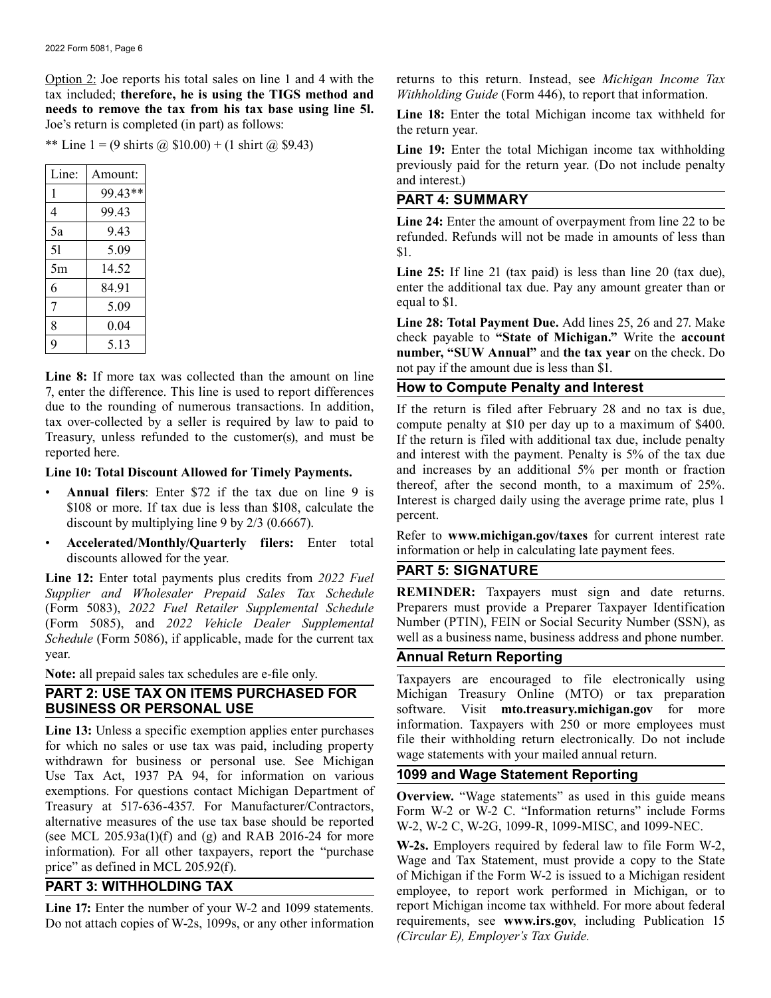Option 2: Joe reports his total sales on line 1 and 4 with the tax included; **therefore, he is using the TIGS method and needs to remove the tax from his tax base using line 5l.** Joe's return is completed (in part) as follows:

\*\* Line 1 = (9 shirts @  $$10.00$ ) + (1 shirt @ \$9.43)

| Line: | Amount: |
|-------|---------|
| 1     | 99.43** |
| 4     | 99.43   |
| 5a    | 9.43    |
| 51    | 5.09    |
| 5m    | 14.52   |
| 6     | 84.91   |
| 7     | 5.09    |
| 8     | 0.04    |
| q     | 5.13    |

**Line 8:** If more tax was collected than the amount on line 7, enter the difference. This line is used to report differences due to the rounding of numerous transactions. In addition, tax over-collected by a seller is required by law to paid to Treasury, unless refunded to the customer(s), and must be reported here.

#### **Line 10: Total Discount Allowed for Timely Payments.**

- **Annual filers**: Enter \$72 if the tax due on line 9 is \$108 or more. If tax due is less than \$108, calculate the discount by multiplying line 9 by 2/3 (0.6667).
- **Accelerated/Monthly/Quarterly filers:** Enter total discounts allowed for the year.

**Line 12:** Enter total payments plus credits from *2022 Fuel Supplier and Wholesaler Prepaid Sales Tax Schedule* (Form 5083), *2022 Fuel Retailer Supplemental Schedule* (Form 5085), and *2022 Vehicle Dealer Supplemental Schedule* (Form 5086), if applicable, made for the current tax year.

**Note:** all prepaid sales tax schedules are e-file only.

# **PART 2: USE TAX ON ITEMS PURCHASED FOR BUSINESS OR PERSONAL USE**

**Line 13:** Unless a specific exemption applies enter purchases for which no sales or use tax was paid, including property withdrawn for business or personal use. See Michigan Use Tax Act, 1937 PA 94, for information on various exemptions. For questions contact Michigan Department of Treasury at 517-636-4357. For Manufacturer/Contractors, alternative measures of the use tax base should be reported (see MCL  $205.93a(1)(f)$  and (g) and RAB 2016-24 for more information). For all other taxpayers, report the "purchase price" as defined in MCL 205.92(f).

# **PART 3: WITHHOLDING TAX**

**Line 17:** Enter the number of your W-2 and 1099 statements. Do not attach copies of W-2s, 1099s, or any other information returns to this return. Instead, see *Michigan Income Tax Withholding Guide* (Form 446), to report that information.

Line 18: Enter the total Michigan income tax withheld for the return year.

**Line 19:** Enter the total Michigan income tax withholding previously paid for the return year. (Do not include penalty and interest.)

# **PART 4: SUMMARY**

**Line 24:** Enter the amount of overpayment from line 22 to be refunded. Refunds will not be made in amounts of less than \$1.

Line 25: If line 21 (tax paid) is less than line 20 (tax due), enter the additional tax due. Pay any amount greater than or equal to \$1.

**Line 28: Total Payment Due.** Add lines 25, 26 and 27. Make check payable to **"State of Michigan."** Write the **account number, "SUW Annual"** and **the tax year** on the check. Do not pay if the amount due is less than \$1.

# **How to Compute Penalty and Interest**

If the return is filed after February 28 and no tax is due, compute penalty at \$10 per day up to a maximum of \$400. If the return is filed with additional tax due, include penalty and interest with the payment. Penalty is 5% of the tax due and increases by an additional 5% per month or fraction thereof, after the second month, to a maximum of 25%. Interest is charged daily using the average prime rate, plus 1 percent.

Refer to **www.michigan.gov/taxes** for current interest rate information or help in calculating late payment fees.

# **PART 5: SIGNATURE**

**REMINDER:** Taxpayers must sign and date returns. Preparers must provide a Preparer Taxpayer Identification Number (PTIN), FEIN or Social Security Number (SSN), as well as a business name, business address and phone number.

### **Annual Return Reporting**

Taxpayers are encouraged to file electronically using Michigan Treasury Online (MTO) or tax preparation software. Visit **mto.treasury.michigan.gov** for more information. Taxpayers with 250 or more employees must file their withholding return electronically. Do not include wage statements with your mailed annual return.

### **1099 and Wage Statement Reporting**

**Overview.** "Wage statements" as used in this guide means Form W-2 or W-2 C. "Information returns" include Forms W-2, W-2 C, W-2G, 1099-R, 1099-MISC, and 1099-NEC.

**W-2s.** Employers required by federal law to file Form W-2, Wage and Tax Statement, must provide a copy to the State of Michigan if the Form W-2 is issued to a Michigan resident employee, to report work performed in Michigan, or to report Michigan income tax withheld. For more about federal requirements, see **www.irs.gov**, including Publication 15 *(Circular E), Employer's Tax Guide.*